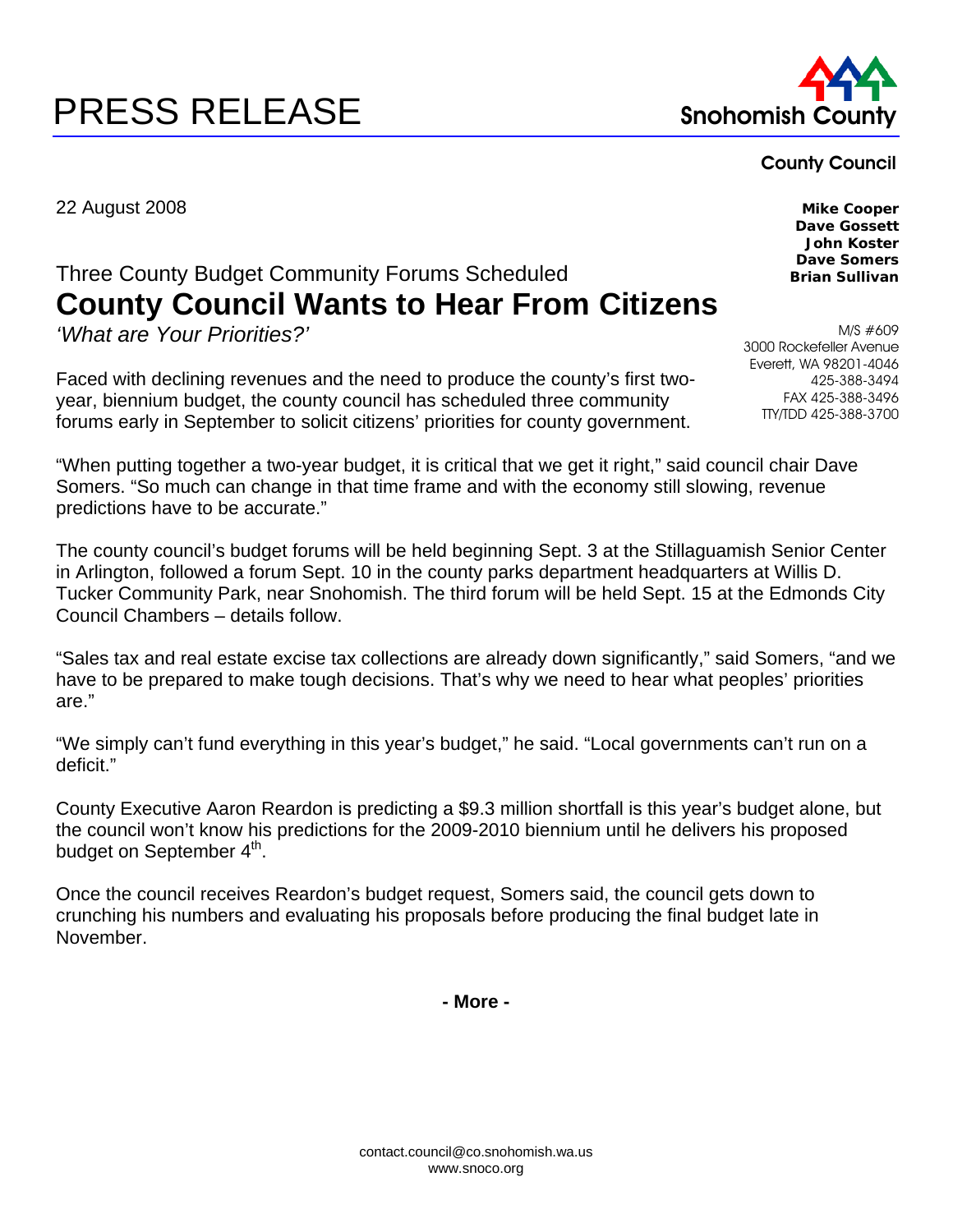# PRESS RELEASE Snohomish Co



### County Council

22 August 2008 **Mike Cooper** 

## Three County Budget Community Forums Scheduled **County Council Wants to Hear From Citizens**

*'What are Your Priorities?'* 

Faced with declining revenues and the need to produce the county's first twoyear, biennium budget, the county council has scheduled three community forums early in September to solicit citizens' priorities for county government.

"When putting together a two-year budget, it is critical that we get it right," said council chair Dave Somers. "So much can change in that time frame and with the economy still slowing, revenue predictions have to be accurate."

The county council's budget forums will be held beginning Sept. 3 at the Stillaguamish Senior Center in Arlington, followed a forum Sept. 10 in the county parks department headquarters at Willis D. Tucker Community Park, near Snohomish. The third forum will be held Sept. 15 at the Edmonds City Council Chambers – details follow.

"Sales tax and real estate excise tax collections are already down significantly," said Somers, "and we have to be prepared to make tough decisions. That's why we need to hear what peoples' priorities are."

"We simply can't fund everything in this year's budget," he said. "Local governments can't run on a deficit."

County Executive Aaron Reardon is predicting a \$9.3 million shortfall is this year's budget alone, but the council won't know his predictions for the 2009-2010 biennium until he delivers his proposed budget on September 4<sup>th</sup>.

Once the council receives Reardon's budget request, Somers said, the council gets down to crunching his numbers and evaluating his proposals before producing the final budget late in November.

**- More -** 

**Dave Gossett John Koster Dave Somers Brian Sullivan** 

M/S #609 3000 Rockefeller Avenue Everett, WA 98201-4046 425-388-3494 FAX 425-388-3496 TTY/TDD 425-388-3700